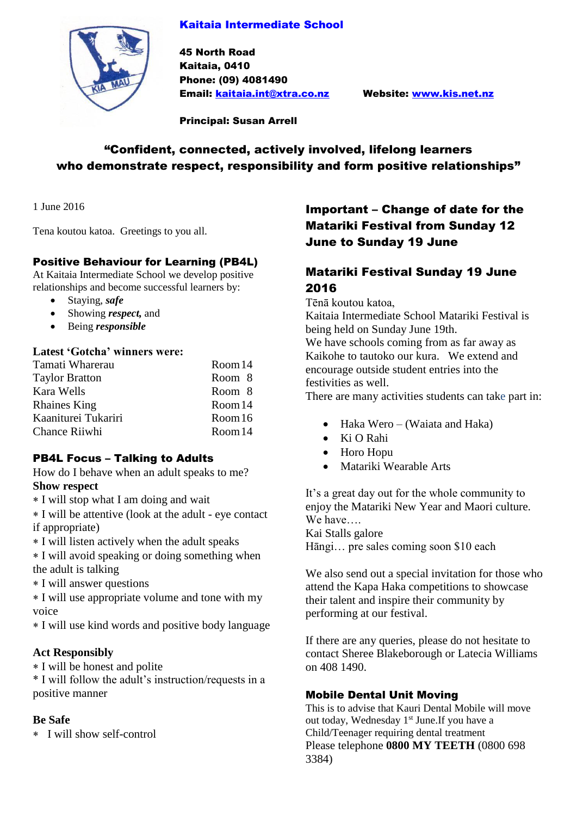### Kaitaia Intermediate School



45 North Road Kaitaia, 0410 Phone: (09) 4081490 Email: [kaitaia.int@xtra.co.nz](mailto:kaitaia.int@xtra.co.nz) Website: [www.kis.net.nz](http://www.kis.net.nz/)

Principal: Susan Arrell

# "Confident, connected, actively involved, lifelong learners who demonstrate respect, responsibility and form positive relationships"

1 June 2016

Tena koutou katoa. Greetings to you all.

### Positive Behaviour for Learning (PB4L)

At Kaitaia Intermediate School we develop positive relationships and become successful learners by:

- Staying, *safe*
- Showing *respect,* and
- Being *responsible*

### **Latest 'Gotcha' winners were:**

| Tamati Wharerau       | Room 14 |
|-----------------------|---------|
| <b>Taylor Bratton</b> | Room 8  |
| Kara Wells            | Room 8  |
| <b>Rhaines King</b>   | Room 14 |
| Kaaniturei Tukariri   | Room 16 |
| <b>Chance Riiwhi</b>  | Room 14 |

### PB4L Focus – Talking to Adults

How do I behave when an adult speaks to me? **Show respect**

- I will stop what I am doing and wait
- I will be attentive (look at the adult eye contact if appropriate)
- I will listen actively when the adult speaks

 I will avoid speaking or doing something when the adult is talking

I will answer questions

 I will use appropriate volume and tone with my voice

I will use kind words and positive body language

### **Act Responsibly**

I will be honest and polite

\* I will follow the adult's instruction/requests in a positive manner

### **Be Safe**

I will show self-control

# Important – Change of date for the Matariki Festival from Sunday 12 June to Sunday 19 June

# Matariki Festival Sunday 19 June 2016

Tēnā koutou katoa,

Kaitaia Intermediate School Matariki Festival is being held on Sunday June 19th.

We have schools coming from as far away as Kaikohe to tautoko our kura. We extend and encourage outside student entries into the festivities as well.

There are many activities students can take part in:

- Haka Wero (Waiata and Haka)
- Ki O Rahi
- Horo Hopu
- Matariki Wearable Arts

It's a great day out for the whole community to enjoy the Matariki New Year and Maori culture. We have….

Kai Stalls galore Hāngi… pre sales coming soon \$10 each

We also send out a special invitation for those who attend the Kapa Haka competitions to showcase their talent and inspire their community by performing at our festival.

If there are any queries, please do not hesitate to contact Sheree Blakeborough or Latecia Williams on 408 1490.

### Mobile Dental Unit Moving

This is to advise that Kauri Dental Mobile will move out today, Wednesday 1<sup>st</sup> June. If you have a Child/Teenager requiring dental treatment Please telephone **0800 MY TEETH** (0800 698 3384)